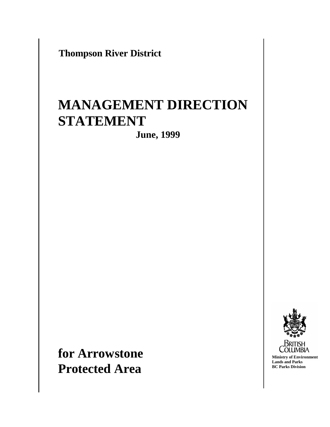**Thompson River District**

# **MANAGEMENT DIRECTION STATEMENT**

**June, 1999**

**for Arrowstone Protected Area**

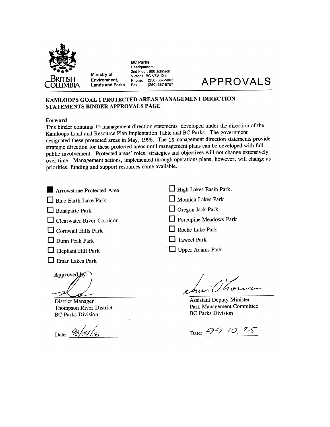

Ministry of Environment, **Lands and Parks** 

**BC Parks** Headquarters 2nd Floor, 800 Johnson Victoria, BC V8V 1X4  $(250)$  387-5002 Phone:  $(250)$  387-5757 Fax:

# **APPROVALS**

#### KAMLOOPS GOAL 1 PROTECTED AREAS MANAGEMENT DIRECTION **STATEMENTS BINDER APPROVALS PAGE**

#### Forward

This binder contains 15 management direction statements developed under the direction of the Kamloops Land and Resource Plan Implentation Table and BC Parks. The government designated these protected areas in May, 1996. The 15 management direction statements provide strategic direction for these protected areas until management plans can be developed with full public involvement. Protected areas' roles, strategies and objectives will not change extensively over time. Management actions, implemented through operations plans, however, will change as priorities, funding and support resources come available.

Arrowstone Protected Area

|  |  | Blue Earth Lake Park |  |  |
|--|--|----------------------|--|--|
|--|--|----------------------|--|--|

- $\Box$  Bonaparte Park
- $\Box$  Clearwater River Corridor
- $\Box$  Cornwall Hills Park
- $\Box$  Dunn Peak Park
- $\Box$  Elephant Hill Park
- $\Box$  Emar Lakes Park

Approved by:

**District Manager Thompson River District BC Parks Division** 

Date:  $\frac{\partial}{\partial \sqrt{\partial}}/\frac{\partial}{\partial \delta}$ 

| High Lakes Basin Park. |  |  |
|------------------------|--|--|
|------------------------|--|--|

- Momich Lakes Park
- $\Box$  Oregon Jack Park
- Porcupine Meadows.Park
- $\Box$  Roche Lake Park
- $\Box$  Taweel Park
- Upper Adams Park

**Assistant Deputy Minister** Park Management Committee **BC Parks Division** 

Date: 99 10 25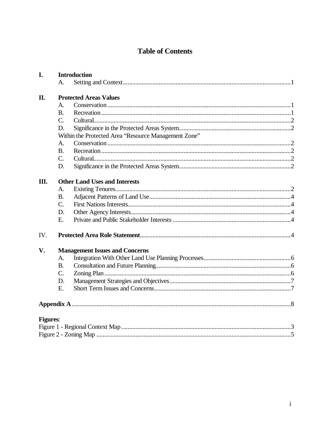# **Table of Contents**

| I.              | <b>Introduction</b>                   |                                                      |  |  |  |
|-----------------|---------------------------------------|------------------------------------------------------|--|--|--|
|                 | Α.                                    |                                                      |  |  |  |
| Π.              | <b>Protected Areas Values</b>         |                                                      |  |  |  |
|                 | A.                                    |                                                      |  |  |  |
|                 | <b>B.</b>                             |                                                      |  |  |  |
|                 | $C_{\cdot}$                           |                                                      |  |  |  |
|                 | D.                                    |                                                      |  |  |  |
|                 |                                       | Within the Protected Area "Resource Management Zone" |  |  |  |
|                 | A.                                    |                                                      |  |  |  |
|                 | <b>B.</b>                             |                                                      |  |  |  |
|                 | $C_{\cdot}$                           |                                                      |  |  |  |
|                 | D.                                    |                                                      |  |  |  |
| Ш.              |                                       | <b>Other Land Uses and Interests</b>                 |  |  |  |
|                 | A.                                    |                                                      |  |  |  |
|                 | <b>B.</b>                             |                                                      |  |  |  |
|                 | $C_{\cdot}$                           |                                                      |  |  |  |
|                 | D.                                    |                                                      |  |  |  |
|                 | E.                                    |                                                      |  |  |  |
| IV.             |                                       |                                                      |  |  |  |
| V.              | <b>Management Issues and Concerns</b> |                                                      |  |  |  |
|                 | A.                                    |                                                      |  |  |  |
|                 | <b>B.</b>                             |                                                      |  |  |  |
|                 | C.                                    |                                                      |  |  |  |
|                 | D.                                    |                                                      |  |  |  |
|                 | E.                                    |                                                      |  |  |  |
|                 |                                       |                                                      |  |  |  |
| <b>Figures:</b> |                                       |                                                      |  |  |  |
|                 |                                       |                                                      |  |  |  |
|                 |                                       |                                                      |  |  |  |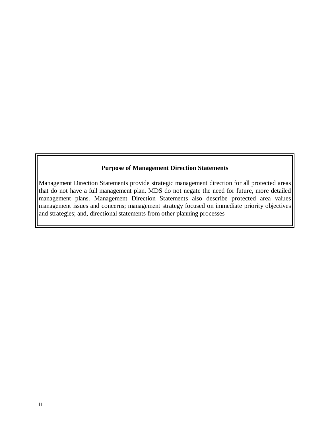# **Purpose of Management Direction Statements**

Management Direction Statements provide strategic management direction for all protected areas that do not have a full management plan. MDS do not negate the need for future, more detailed management plans. Management Direction Statements also describe protected area values management issues and concerns; management strategy focused on immediate priority objectives and strategies; and, directional statements from other planning processes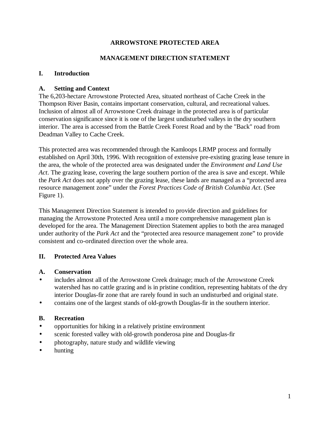### **ARROWSTONE PROTECTED AREA**

### **MANAGEMENT DIRECTION STATEMENT**

#### **I. Introduction**

#### **A. Setting and Context**

The 6,203-hectare Arrowstone Protected Area, situated northeast of Cache Creek in the Thompson River Basin, contains important conservation, cultural, and recreational values. Inclusion of almost all of Arrowstone Creek drainage in the protected area is of particular conservation significance since it is one of the largest undisturbed valleys in the dry southern interior. The area is accessed from the Battle Creek Forest Road and by the "Back" road from Deadman Valley to Cache Creek.

This protected area was recommended through the Kamloops LRMP process and formally established on April 30th, 1996. With recognition of extensive pre-existing grazing lease tenure in the area, the whole of the protected area was designated under the *Environment and Land Use Act*. The grazing lease, covering the large southern portion of the area is save and except. While the *Park Act* does not apply over the grazing lease, these lands are managed as a "protected area resource management zone" under the *Forest Practices Code of British Columbia Act*. (See Figure 1).

This Management Direction Statement is intended to provide direction and guidelines for managing the Arrowstone Protected Area until a more comprehensive management plan is developed for the area. The Management Direction Statement applies to both the area managed under authority of the *Park Act* and the "protected area resource management zone" to provide consistent and co-ordinated direction over the whole area.

#### **II. Protected Area Values**

#### **A. Conservation**

- includes almost all of the Arrowstone Creek drainage; much of the Arrowstone Creek watershed has no cattle grazing and is in pristine condition, representing habitats of the dry interior Douglas-fir zone that are rarely found in such an undisturbed and original state.
- contains one of the largest stands of old-growth Douglas-fir in the southern interior.

#### **B. Recreation**

- opportunities for hiking in a relatively pristine environment
- scenic forested valley with old-growth ponderosa pine and Douglas-fir
- photography, nature study and wildlife viewing
- hunting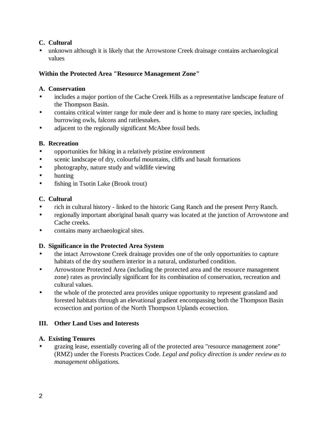## **C. Cultural**

• unknown although it is likely that the Arrowstone Creek drainage contains archaeological values

### **Within the Protected Area "Resource Management Zone"**

### **A. Conservation**

- includes a major portion of the Cache Creek Hills as a representative landscape feature of the Thompson Basin.
- contains critical winter range for mule deer and is home to many rare species, including burrowing owls, falcons and rattlesnakes.
- adjacent to the regionally significant McAbee fossil beds.

# **B. Recreation**

- opportunities for hiking in a relatively pristine environment
- scenic landscape of dry, colourful mountains, cliffs and basalt formations
- photography, nature study and wildlife viewing
- hunting
- fishing in Tsotin Lake (Brook trout)

# **C. Cultural**

- rich in cultural history linked to the historic Gang Ranch and the present Perry Ranch.
- regionally important aboriginal basalt quarry was located at the junction of Arrowstone and Cache creeks.
- contains many archaeological sites.

# **D. Significance in the Protected Area System**

- the intact Arrowstone Creek drainage provides one of the only opportunities to capture habitats of the dry southern interior in a natural, undisturbed condition.
- Arrowstone Protected Area (including the protected area and the resource management zone) rates as provincially significant for its combination of conservation, recreation and cultural values.
- the whole of the protected area provides unique opportunity to represent grassland and forested habitats through an elevational gradient encompassing both the Thompson Basin ecosection and portion of the North Thompson Uplands ecosection.

# **III. Other Land Uses and Interests**

# **A. Existing Tenures**

• grazing lease, essentially covering all of the protected area "resource management zone" (RMZ) under the Forests Practices Code. *Legal and policy direction is under review as to management obligations.*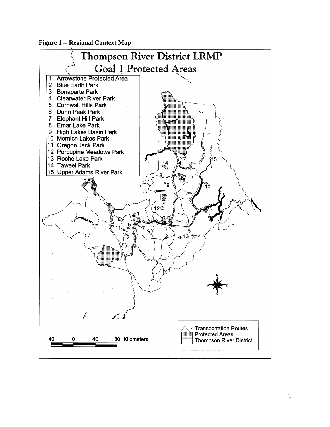**Figure 1 - Regional Context Map** 

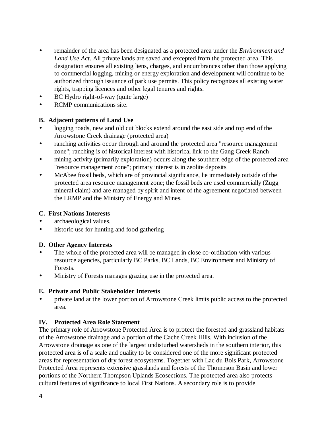- remainder of the area has been designated as a protected area under the *Environment and Land Use Act*. All private lands are saved and excepted from the protected area. This designation ensures all existing liens, charges, and encumbrances other than those applying to commercial logging, mining or energy exploration and development will continue to be authorized through issuance of park use permits. This policy recognizes all existing water rights, trapping licences and other legal tenures and rights.
- BC Hydro right-of-way (quite large)
- RCMP communications site.

#### **B. Adjacent patterns of Land Use**

- logging roads, new and old cut blocks extend around the east side and top end of the Arrowstone Creek drainage (protected area)
- ranching activities occur through and around the protected area "resource management zone"; ranching is of historical interest with historical link to the Gang Creek Ranch
- mining activity (primarily exploration) occurs along the southern edge of the protected area "resource management zone"; primary interest is in zeolite deposits
- McAbee fossil beds, which are of provincial significance, lie immediately outside of the protected area resource management zone; the fossil beds are used commercially (Zugg mineral claim) and are managed by spirit and intent of the agreement negotiated between the LRMP and the Ministry of Energy and Mines.

#### **C. First Nations Interests**

- archaeological values.
- historic use for hunting and food gathering

# **D. Other Agency Interests**

- The whole of the protected area will be managed in close co-ordination with various resource agencies, particularly BC Parks, BC Lands, BC Environment and Ministry of Forests.
- Ministry of Forests manages grazing use in the protected area.

#### **E. Private and Public Stakeholder Interests**

• private land at the lower portion of Arrowstone Creek limits public access to the protected area.

# **IV. Protected Area Role Statement**

The primary role of Arrowstone Protected Area is to protect the forested and grassland habitats of the Arrowstone drainage and a portion of the Cache Creek Hills. With inclusion of the Arrowstone drainage as one of the largest undisturbed watersheds in the southern interior, this protected area is of a scale and quality to be considered one of the more significant protected areas for representation of dry forest ecosystems. Together with Lac du Bois Park, Arrowstone Protected Area represents extensive grasslands and forests of the Thompson Basin and lower portions of the Northern Thompson Uplands Ecosections. The protected area also protects cultural features of significance to local First Nations. A secondary role is to provide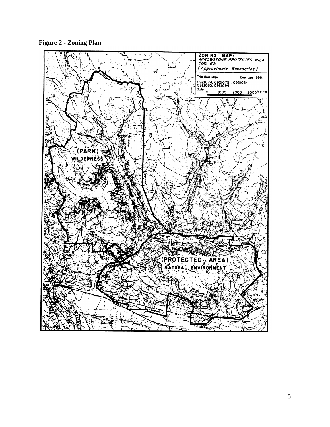**Figure 2 - Zoning Plan**

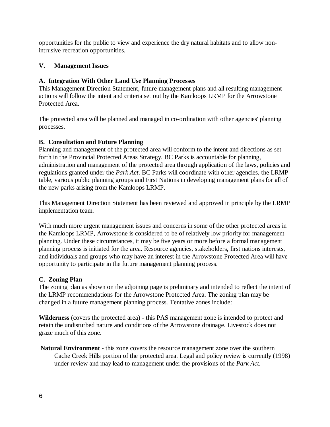opportunities for the public to view and experience the dry natural habitats and to allow nonintrusive recreation opportunities.

### **V. Management Issues**

#### **A. Integration With Other Land Use Planning Processes**

This Management Direction Statement, future management plans and all resulting management actions will follow the intent and criteria set out by the Kamloops LRMP for the Arrowstone Protected Area.

The protected area will be planned and managed in co-ordination with other agencies' planning processes.

### **B. Consultation and Future Planning**

Planning and management of the protected area will conform to the intent and directions as set forth in the Provincial Protected Areas Strategy. BC Parks is accountable for planning, administration and management of the protected area through application of the laws, policies and regulations granted under the *Park Act*. BC Parks will coordinate with other agencies, the LRMP table, various public planning groups and First Nations in developing management plans for all of the new parks arising from the Kamloops LRMP.

This Management Direction Statement has been reviewed and approved in principle by the LRMP implementation team.

With much more urgent management issues and concerns in some of the other protected areas in the Kamloops LRMP, Arrowstone is considered to be of relatively low priority for management planning. Under these circumstances, it may be five years or more before a formal management planning process is initiated for the area. Resource agencies, stakeholders, first nations interests, and individuals and groups who may have an interest in the Arrowstone Protected Area will have opportunity to participate in the future management planning process.

#### **C. Zoning Plan**

The zoning plan as shown on the adjoining page is preliminary and intended to reflect the intent of the LRMP recommendations for the Arrowstone Protected Area. The zoning plan may be changed in a future management planning process. Tentative zones include:

**Wilderness** (covers the protected area) - this PAS management zone is intended to protect and retain the undisturbed nature and conditions of the Arrowstone drainage. Livestock does not graze much of this zone.

 **Natural Environment** - this zone covers the resource management zone over the southern Cache Creek Hills portion of the protected area. Legal and policy review is currently (1998) under review and may lead to management under the provisions of the *Park Act*.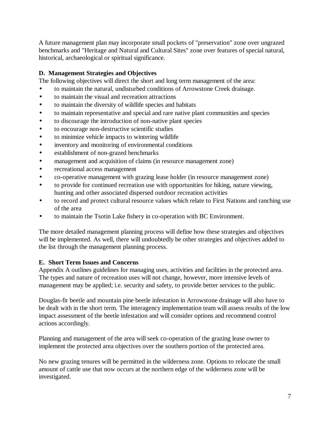A future management plan may incorporate small pockets of "preservation" zone over ungrazed benchmarks and "Heritage and Natural and Cultural Sites" zone over features of special natural, historical, archaeological or spiritual significance.

## **D. Management Strategies and Objectives**

The following objectives will direct the short and long term management of the area:

- to maintain the natural, undisturbed conditions of Arrowstone Creek drainage.
- to maintain the visual and recreation attractions
- to maintain the diversity of wildlife species and habitats
- to maintain representative and special and rare native plant communities and species
- to discourage the introduction of non-native plant species
- to encourage non-destructive scientific studies
- to minimize vehicle impacts to wintering wildlife
- inventory and monitoring of environmental conditions
- establishment of non-grazed benchmarks
- management and acquisition of claims (in resource management zone)
- recreational access management
- co-operative management with grazing lease holder (in resource management zone)
- to provide for continued recreation use with opportunities for hiking, nature viewing, hunting and other associated dispersed outdoor recreation activities
- to record and protect cultural resource values which relate to First Nations and ranching use of the area
- to maintain the Tsotin Lake fishery in co-operation with BC Environment.

The more detailed management planning process will define how these strategies and objectives will be implemented. As well, there will undoubtedly be other strategies and objectives added to the list through the management planning process.

# **E. Short Term Issues and Concerns**

Appendix A outlines guidelines for managing uses, activities and facilities in the protected area. The types and nature of recreation uses will not change, however, more intensive levels of management may be applied; i.e. security and safety, to provide better services to the public.

Douglas-fir beetle and mountain pine beetle infestation in Arrowstone drainage will also have to be dealt with in the short term. The interagency implementation team will assess results of the low impact assessment of the beetle infestation and will consider options and recommend control actions accordingly.

Planning and management of the area will seek co-operation of the grazing lease owner to implement the protected area objectives over the southern portion of the protected area.

No new grazing tenures will be permitted in the wilderness zone. Options to relocate the small amount of cattle use that now occurs at the northern edge of the wilderness zone will be investigated.